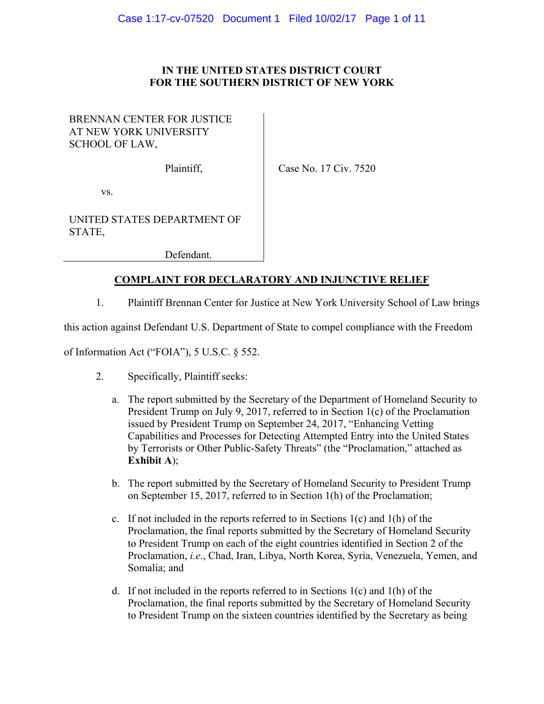# **IN THE UNITED STATES DISTRICT COURT FOR THE SOUTHERN DISTRICT OF NEW YORK**

# BRENNAN CENTER FOR JUSTICE AT NEW YORK UNIVERSITY SCHOOL OF LAW,

Plaintiff,

Case No. 17 Civ. 7520

vs.

UNITED STATES DEPARTMENT OF STATE,

Defendant.

# **COMPLAINT FOR DECLARATORY AND INJUNCTIVE RELIEF**

1. Plaintiff Brennan Center for Justice at New York University School of Law brings

this action against Defendant U.S. Department of State to compel compliance with the Freedom

of Information Act ("FOIA"), 5 U.S.C. § 552.

- 2. Specifically, Plaintiff seeks:
	- a. The report submitted by the Secretary of the Department of Homeland Security to President Trump on July 9, 2017, referred to in Section 1(c) of the Proclamation issued by President Trump on September 24, 2017, "Enhancing Vetting Capabilities and Processes for Detecting Attempted Entry into the United States by Terrorists or Other Public-Safety Threats" (the "Proclamation," attached as **Exhibit A**);
	- b. The report submitted by the Secretary of Homeland Security to President Trump on September 15, 2017, referred to in Section 1(h) of the Proclamation;
	- c. If not included in the reports referred to in Sections 1(c) and 1(h) of the Proclamation, the final reports submitted by the Secretary of Homeland Security to President Trump on each of the eight countries identified in Section 2 of the Proclamation, *i.e.*, Chad, Iran, Libya, North Korea, Syria, Venezuela, Yemen, and Somalia; and
	- d. If not included in the reports referred to in Sections 1(c) and 1(h) of the Proclamation, the final reports submitted by the Secretary of Homeland Security to President Trump on the sixteen countries identified by the Secretary as being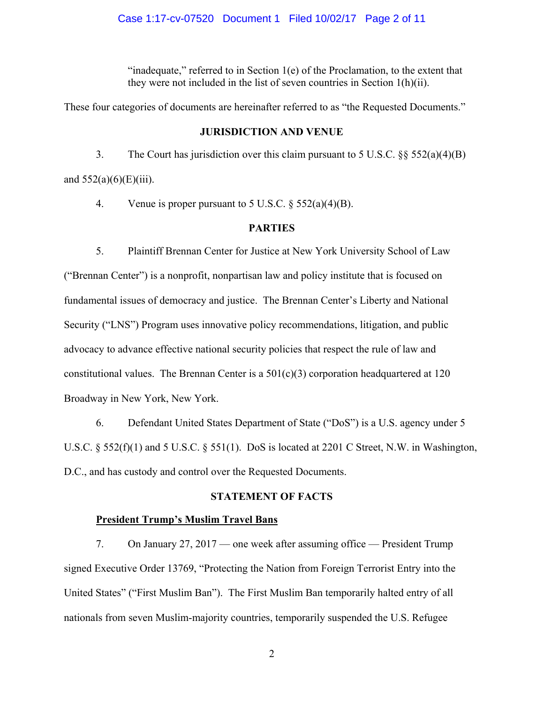"inadequate," referred to in Section  $1(e)$  of the Proclamation, to the extent that they were not included in the list of seven countries in Section 1(h)(ii).

These four categories of documents are hereinafter referred to as "the Requested Documents."

# **JURISDICTION AND VENUE**

3. The Court has jurisdiction over this claim pursuant to 5 U.S.C. §§ 552(a)(4)(B) and  $552(a)(6)(E)(iii)$ .

4. Venue is proper pursuant to 5 U.S.C.  $\S 552(a)(4)(B)$ .

# **PARTIES**

5. Plaintiff Brennan Center for Justice at New York University School of Law ("Brennan Center") is a nonprofit, nonpartisan law and policy institute that is focused on fundamental issues of democracy and justice. The Brennan Center's Liberty and National Security ("LNS") Program uses innovative policy recommendations, litigation, and public advocacy to advance effective national security policies that respect the rule of law and constitutional values. The Brennan Center is a  $501(c)(3)$  corporation headquartered at 120 Broadway in New York, New York.

6. Defendant United States Department of State ("DoS") is a U.S. agency under 5 U.S.C. § 552(f)(1) and 5 U.S.C. § 551(1). DoS is located at 2201 C Street, N.W. in Washington, D.C., and has custody and control over the Requested Documents.

# **STATEMENT OF FACTS**

# **President Trump's Muslim Travel Bans**

7. On January 27, 2017 — one week after assuming office — President Trump signed Executive Order 13769, "Protecting the Nation from Foreign Terrorist Entry into the United States" ("First Muslim Ban"). The First Muslim Ban temporarily halted entry of all nationals from seven Muslim-majority countries, temporarily suspended the U.S. Refugee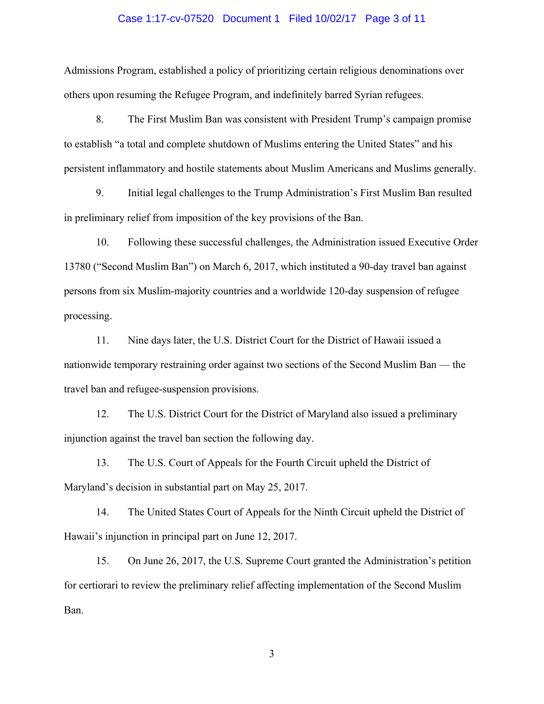# Case 1:17-cv-07520 Document 1 Filed 10/02/17 Page 3 of 11

Admissions Program, established a policy of prioritizing certain religious denominations over others upon resuming the Refugee Program, and indefinitely barred Syrian refugees.

8. The First Muslim Ban was consistent with President Trump's campaign promise to establish "a total and complete shutdown of Muslims entering the United States" and his persistent inflammatory and hostile statements about Muslim Americans and Muslims generally.

9. Initial legal challenges to the Trump Administration's First Muslim Ban resulted in preliminary relief from imposition of the key provisions of the Ban.

10. Following these successful challenges, the Administration issued Executive Order 13780 ("Second Muslim Ban") on March 6, 2017, which instituted a 90-day travel ban against persons from six Muslim-majority countries and a worldwide 120-day suspension of refugee processing.

11. Nine days later, the U.S. District Court for the District of Hawaii issued a nationwide temporary restraining order against two sections of the Second Muslim Ban — the travel ban and refugee-suspension provisions.

12. The U.S. District Court for the District of Maryland also issued a preliminary injunction against the travel ban section the following day.

13. The U.S. Court of Appeals for the Fourth Circuit upheld the District of Maryland's decision in substantial part on May 25, 2017.

14. The United States Court of Appeals for the Ninth Circuit upheld the District of Hawaii's injunction in principal part on June 12, 2017.

15. On June 26, 2017, the U.S. Supreme Court granted the Administration's petition for certiorari to review the preliminary relief affecting implementation of the Second Muslim Ban.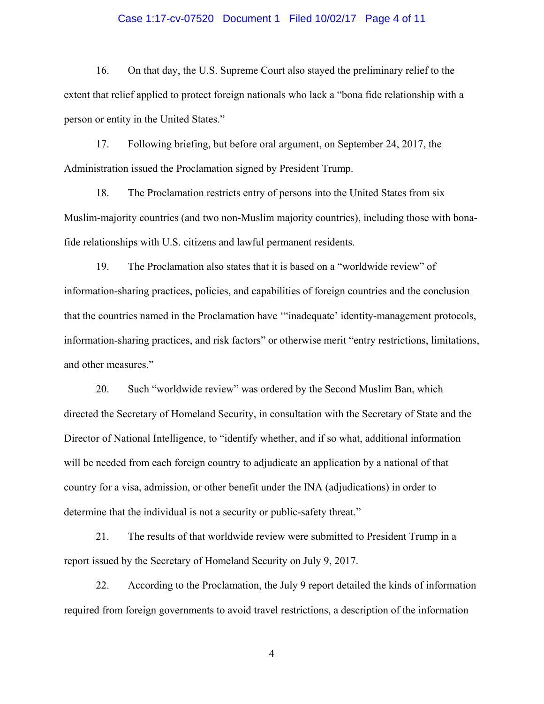# Case 1:17-cv-07520 Document 1 Filed 10/02/17 Page 4 of 11

16. On that day, the U.S. Supreme Court also stayed the preliminary relief to the extent that relief applied to protect foreign nationals who lack a "bona fide relationship with a person or entity in the United States."

17. Following briefing, but before oral argument, on September 24, 2017, the Administration issued the Proclamation signed by President Trump.

18. The Proclamation restricts entry of persons into the United States from six Muslim-majority countries (and two non-Muslim majority countries), including those with bonafide relationships with U.S. citizens and lawful permanent residents.

19. The Proclamation also states that it is based on a "worldwide review" of information-sharing practices, policies, and capabilities of foreign countries and the conclusion that the countries named in the Proclamation have '"inadequate' identity-management protocols, information-sharing practices, and risk factors" or otherwise merit "entry restrictions, limitations, and other measures."

20. Such "worldwide review" was ordered by the Second Muslim Ban, which directed the Secretary of Homeland Security, in consultation with the Secretary of State and the Director of National Intelligence, to "identify whether, and if so what, additional information will be needed from each foreign country to adjudicate an application by a national of that country for a visa, admission, or other benefit under the INA (adjudications) in order to determine that the individual is not a security or public-safety threat."

21. The results of that worldwide review were submitted to President Trump in a report issued by the Secretary of Homeland Security on July 9, 2017.

22. According to the Proclamation, the July 9 report detailed the kinds of information required from foreign governments to avoid travel restrictions, a description of the information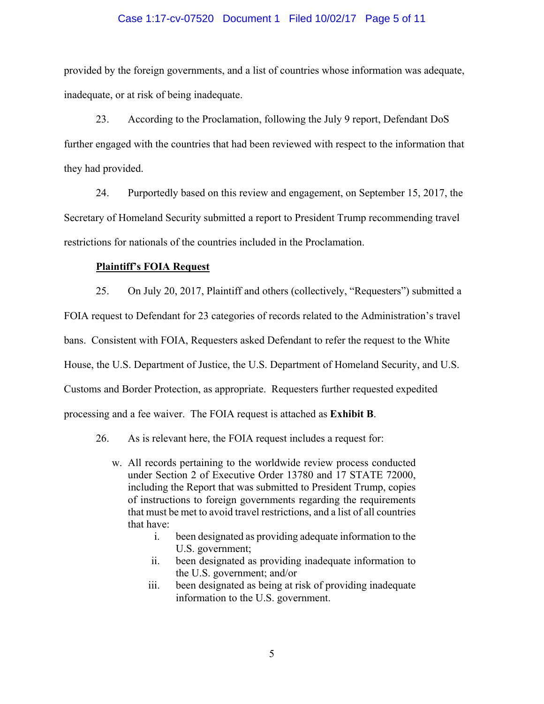# Case 1:17-cv-07520 Document 1 Filed 10/02/17 Page 5 of 11

provided by the foreign governments, and a list of countries whose information was adequate, inadequate, or at risk of being inadequate.

23. According to the Proclamation, following the July 9 report, Defendant DoS further engaged with the countries that had been reviewed with respect to the information that they had provided.

24. Purportedly based on this review and engagement, on September 15, 2017, the Secretary of Homeland Security submitted a report to President Trump recommending travel restrictions for nationals of the countries included in the Proclamation.

# **Plaintiff's FOIA Request**

25. On July 20, 2017, Plaintiff and others (collectively, "Requesters") submitted a FOIA request to Defendant for 23 categories of records related to the Administration's travel bans. Consistent with FOIA, Requesters asked Defendant to refer the request to the White House, the U.S. Department of Justice, the U.S. Department of Homeland Security, and U.S. Customs and Border Protection, as appropriate. Requesters further requested expedited processing and a fee waiver. The FOIA request is attached as **Exhibit B**.

# 26. As is relevant here, the FOIA request includes a request for:

- w. All records pertaining to the worldwide review process conducted under Section 2 of Executive Order 13780 and 17 STATE 72000, including the Report that was submitted to President Trump, copies of instructions to foreign governments regarding the requirements that must be met to avoid travel restrictions, and a list of all countries that have:
	- i. been designated as providing adequate information to the U.S. government;
	- ii. been designated as providing inadequate information to the U.S. government; and/or
	- iii. been designated as being at risk of providing inadequate information to the U.S. government.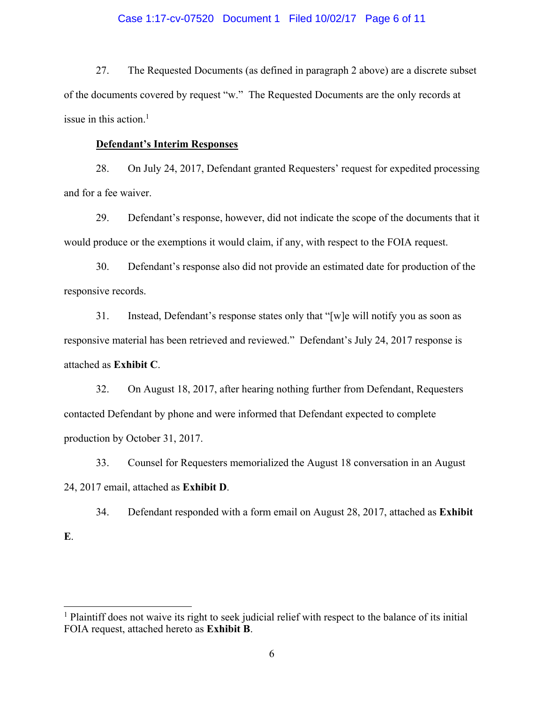# Case 1:17-cv-07520 Document 1 Filed 10/02/17 Page 6 of 11

27. The Requested Documents (as defined in paragraph 2 above) are a discrete subset of the documents covered by request "w." The Requested Documents are the only records at issue in this action. $<sup>1</sup>$ </sup>

# **Defendant's Interim Responses**

 $\overline{a}$ 

28. On July 24, 2017, Defendant granted Requesters' request for expedited processing and for a fee waiver.

29. Defendant's response, however, did not indicate the scope of the documents that it would produce or the exemptions it would claim, if any, with respect to the FOIA request.

30. Defendant's response also did not provide an estimated date for production of the responsive records.

31. Instead, Defendant's response states only that "[w]e will notify you as soon as responsive material has been retrieved and reviewed." Defendant's July 24, 2017 response is attached as **Exhibit C**.

32. On August 18, 2017, after hearing nothing further from Defendant, Requesters contacted Defendant by phone and were informed that Defendant expected to complete production by October 31, 2017.

33. Counsel for Requesters memorialized the August 18 conversation in an August 24, 2017 email, attached as **Exhibit D**.

34. Defendant responded with a form email on August 28, 2017, attached as **Exhibit E**.

<sup>&</sup>lt;sup>1</sup> Plaintiff does not waive its right to seek judicial relief with respect to the balance of its initial FOIA request, attached hereto as **Exhibit B**.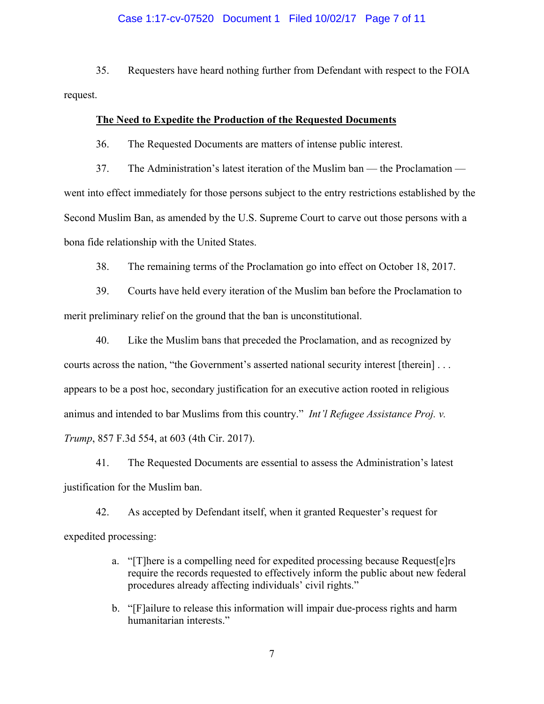# Case 1:17-cv-07520 Document 1 Filed 10/02/17 Page 7 of 11

35. Requesters have heard nothing further from Defendant with respect to the FOIA request.

#### **The Need to Expedite the Production of the Requested Documents**

36. The Requested Documents are matters of intense public interest.

37. The Administration's latest iteration of the Muslim ban — the Proclamation went into effect immediately for those persons subject to the entry restrictions established by the Second Muslim Ban, as amended by the U.S. Supreme Court to carve out those persons with a bona fide relationship with the United States.

38. The remaining terms of the Proclamation go into effect on October 18, 2017.

39. Courts have held every iteration of the Muslim ban before the Proclamation to merit preliminary relief on the ground that the ban is unconstitutional.

40. Like the Muslim bans that preceded the Proclamation, and as recognized by courts across the nation, "the Government's asserted national security interest [therein] . . . appears to be a post hoc, secondary justification for an executive action rooted in religious animus and intended to bar Muslims from this country." *Int'l Refugee Assistance Proj. v. Trump*, 857 F.3d 554, at 603 (4th Cir. 2017).

41. The Requested Documents are essential to assess the Administration's latest justification for the Muslim ban.

42. As accepted by Defendant itself, when it granted Requester's request for expedited processing:

- a. "[T]here is a compelling need for expedited processing because Request[e]rs require the records requested to effectively inform the public about new federal procedures already affecting individuals' civil rights."
- b. "[F]ailure to release this information will impair due-process rights and harm humanitarian interests."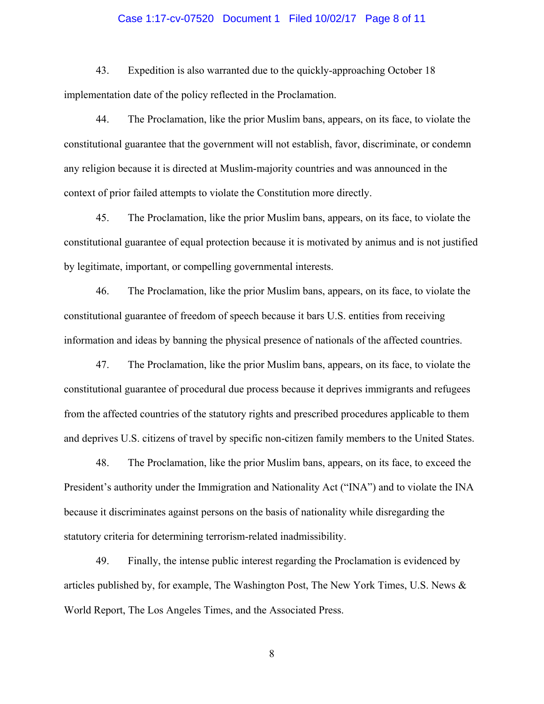# Case 1:17-cv-07520 Document 1 Filed 10/02/17 Page 8 of 11

43. Expedition is also warranted due to the quickly-approaching October 18 implementation date of the policy reflected in the Proclamation.

44. The Proclamation, like the prior Muslim bans, appears, on its face, to violate the constitutional guarantee that the government will not establish, favor, discriminate, or condemn any religion because it is directed at Muslim-majority countries and was announced in the context of prior failed attempts to violate the Constitution more directly.

45. The Proclamation, like the prior Muslim bans, appears, on its face, to violate the constitutional guarantee of equal protection because it is motivated by animus and is not justified by legitimate, important, or compelling governmental interests.

46. The Proclamation, like the prior Muslim bans, appears, on its face, to violate the constitutional guarantee of freedom of speech because it bars U.S. entities from receiving information and ideas by banning the physical presence of nationals of the affected countries.

47. The Proclamation, like the prior Muslim bans, appears, on its face, to violate the constitutional guarantee of procedural due process because it deprives immigrants and refugees from the affected countries of the statutory rights and prescribed procedures applicable to them and deprives U.S. citizens of travel by specific non-citizen family members to the United States.

48. The Proclamation, like the prior Muslim bans, appears, on its face, to exceed the President's authority under the Immigration and Nationality Act ("INA") and to violate the INA because it discriminates against persons on the basis of nationality while disregarding the statutory criteria for determining terrorism-related inadmissibility.

49. Finally, the intense public interest regarding the Proclamation is evidenced by articles published by, for example, The Washington Post, The New York Times, U.S. News & World Report, The Los Angeles Times, and the Associated Press.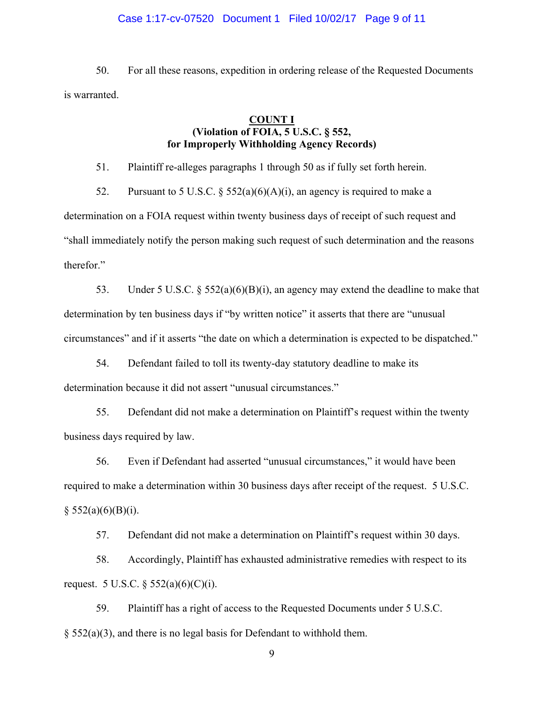# Case 1:17-cv-07520 Document 1 Filed 10/02/17 Page 9 of 11

50. For all these reasons, expedition in ordering release of the Requested Documents is warranted.

# **COUNT I**

# **(Violation of FOIA, 5 U.S.C. § 552, for Improperly Withholding Agency Records)**

51. Plaintiff re-alleges paragraphs 1 through 50 as if fully set forth herein.

52. Pursuant to 5 U.S.C. § 552(a)(6)(A)(i), an agency is required to make a determination on a FOIA request within twenty business days of receipt of such request and "shall immediately notify the person making such request of such determination and the reasons therefor."

53. Under 5 U.S.C. § 552(a)(6)(B)(i), an agency may extend the deadline to make that determination by ten business days if "by written notice" it asserts that there are "unusual circumstances" and if it asserts "the date on which a determination is expected to be dispatched."

54. Defendant failed to toll its twenty-day statutory deadline to make its determination because it did not assert "unusual circumstances."

55. Defendant did not make a determination on Plaintiff's request within the twenty business days required by law.

56. Even if Defendant had asserted "unusual circumstances," it would have been required to make a determination within 30 business days after receipt of the request. 5 U.S.C.  $§$  552(a)(6)(B)(i).

57. Defendant did not make a determination on Plaintiff's request within 30 days.

58. Accordingly, Plaintiff has exhausted administrative remedies with respect to its request. 5 U.S.C.  $\S$  552(a)(6)(C)(i).

59. Plaintiff has a right of access to the Requested Documents under 5 U.S.C.  $\S$  552(a)(3), and there is no legal basis for Defendant to withhold them.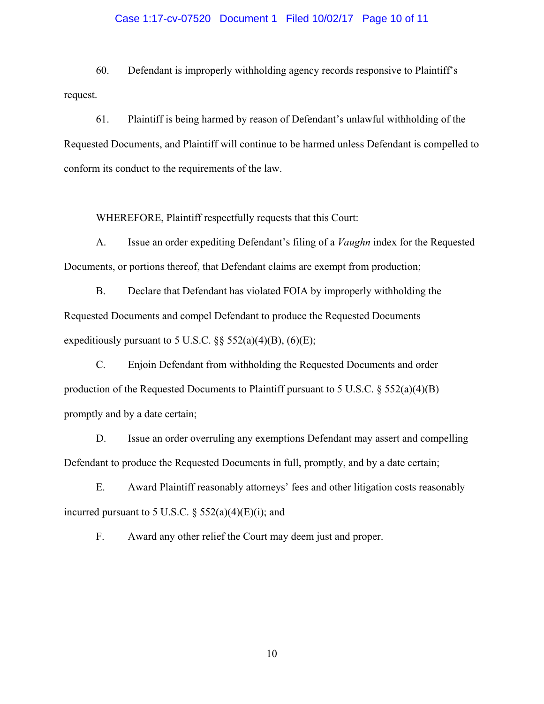# Case 1:17-cv-07520 Document 1 Filed 10/02/17 Page 10 of 11

60. Defendant is improperly withholding agency records responsive to Plaintiff's request.

61. Plaintiff is being harmed by reason of Defendant's unlawful withholding of the Requested Documents, and Plaintiff will continue to be harmed unless Defendant is compelled to conform its conduct to the requirements of the law.

WHEREFORE, Plaintiff respectfully requests that this Court:

A. Issue an order expediting Defendant's filing of a *Vaughn* index for the Requested Documents, or portions thereof, that Defendant claims are exempt from production;

B. Declare that Defendant has violated FOIA by improperly withholding the Requested Documents and compel Defendant to produce the Requested Documents expeditiously pursuant to 5 U.S.C.  $\S$ § 552(a)(4)(B), (6)(E);

C. Enjoin Defendant from withholding the Requested Documents and order production of the Requested Documents to Plaintiff pursuant to 5 U.S.C. § 552(a)(4)(B) promptly and by a date certain;

D. Issue an order overruling any exemptions Defendant may assert and compelling Defendant to produce the Requested Documents in full, promptly, and by a date certain;

E. Award Plaintiff reasonably attorneys' fees and other litigation costs reasonably incurred pursuant to 5 U.S.C.  $\S$  552(a)(4)(E)(i); and

F. Award any other relief the Court may deem just and proper.